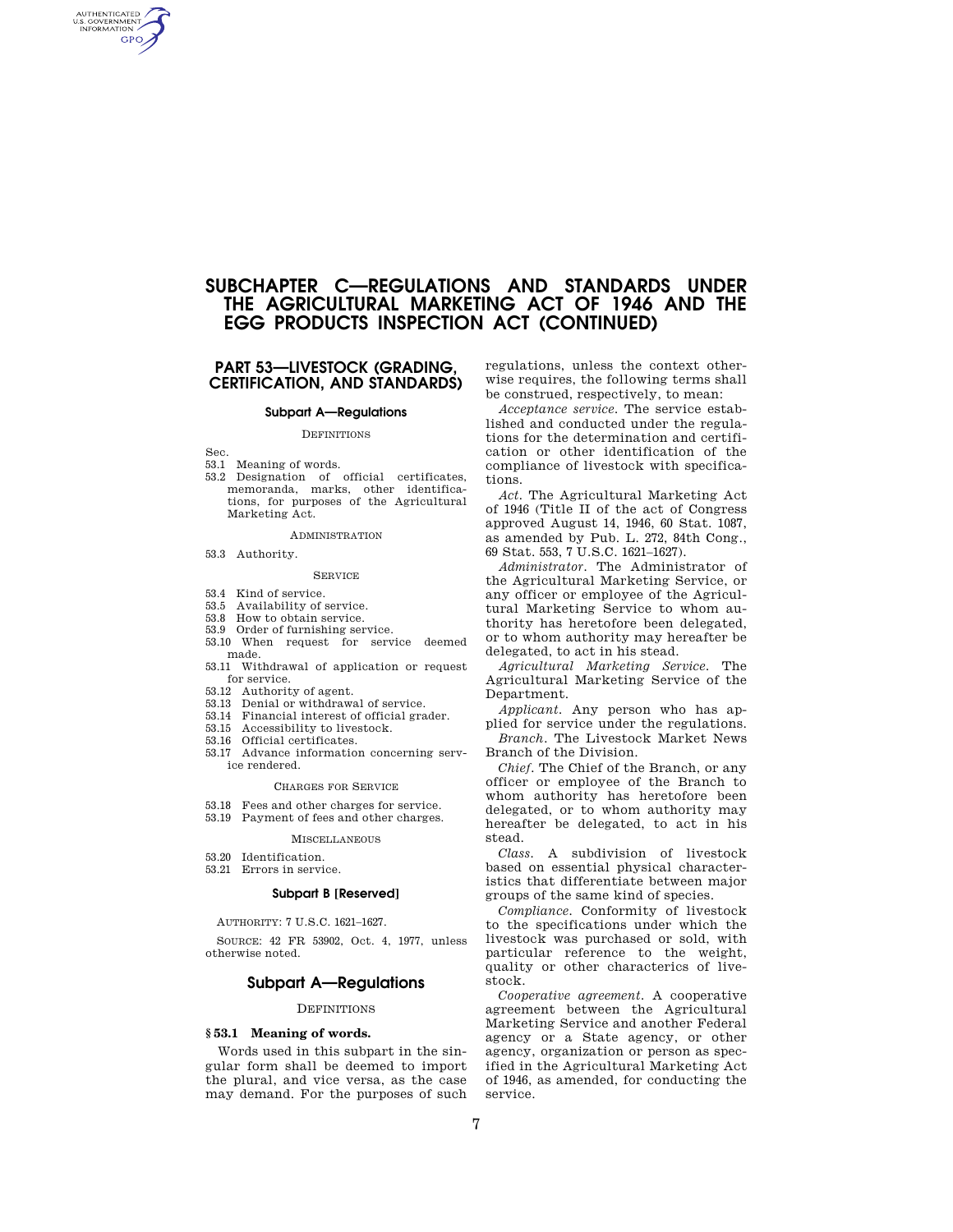# **SUBCHAPTER C—REGULATIONS AND STANDARDS UNDER THE AGRICULTURAL MARKETING ACT OF 1946 AND THE EGG PRODUCTS INSPECTION ACT (CONTINUED)**

# **PART 53—LIVESTOCK (GRADING, CERTIFICATION, AND STANDARDS)**

# **Subpart A—Regulations**

# **DEFINITIONS**

Sec.

AUTHENTICATED<br>U.S. GOVERNMENT<br>INFORMATION GPO

- 53.1 Meaning of words.
- 53.2 Designation of official certificates, memoranda, marks, other identifications, for purposes of the Agricultural Marketing Act.

### ADMINISTRATION

53.3 Authority.

### SERVICE

- 53.4 Kind of service.
- 53.5 Availability of service.
- 53.8 How to obtain service.
- 53.9 Order of furnishing service.
- 53.10 When request for service deemed made.
- 53.11 Withdrawal of application or request for service.
- 
- 53.12 Authority of agent. 53.13 Denial or withdrawal of service.
- 53.14 Financial interest of official grader.
- 53.15 Accessibility to livestock.
- 53.16 Official certificates.
- 53.17 Advance information concerning service rendered.

# CHARGES FOR SERVICE

- 53.18 Fees and other charges for service.
- 53.19 Payment of fees and other charges.

### MISCELLANEOUS

- 53.20 Identification.
- 53.21 Errors in service.

# **Subpart B [Reserved]**

AUTHORITY: 7 U.S.C. 1621–1627.

SOURCE: 42 FR 53902, Oct. 4, 1977, unless otherwise noted.

# **Subpart A—Regulations**

# **DEFINITIONS**

# **§ 53.1 Meaning of words.**

Words used in this subpart in the singular form shall be deemed to import the plural, and vice versa, as the case may demand. For the purposes of such

regulations, unless the context otherwise requires, the following terms shall be construed, respectively, to mean:

*Acceptance service.* The service established and conducted under the regulations for the determination and certification or other identification of the compliance of livestock with specifications.

*Act.* The Agricultural Marketing Act of 1946 (Title II of the act of Congress approved August 14, 1946, 60 Stat. 1087, as amended by Pub. L. 272, 84th Cong., 69 Stat. 553, 7 U.S.C. 1621–1627).

*Administrator.* The Administrator of the Agricultural Marketing Service, or any officer or employee of the Agricultural Marketing Service to whom authority has heretofore been delegated, or to whom authority may hereafter be delegated, to act in his stead.

*Agricultural Marketing Service.* The Agricultural Marketing Service of the Department.

*Applicant.* Any person who has applied for service under the regulations.

*Branch.* The Livestock Market News Branch of the Division.

*Chief.* The Chief of the Branch, or any officer or employee of the Branch to whom authority has heretofore been delegated, or to whom authority may hereafter be delegated, to act in his stead.

*Class.* A subdivision of livestock based on essential physical characteristics that differentiate between major groups of the same kind of species.

*Compliance.* Conformity of livestock to the specifications under which the livestock was purchased or sold, with particular reference to the weight, quality or other characterics of livestock.

*Cooperative agreement.* A cooperative agreement between the Agricultural Marketing Service and another Federal agency or a State agency, or other agency, organization or person as specified in the Agricultural Marketing Act of 1946, as amended, for conducting the service.